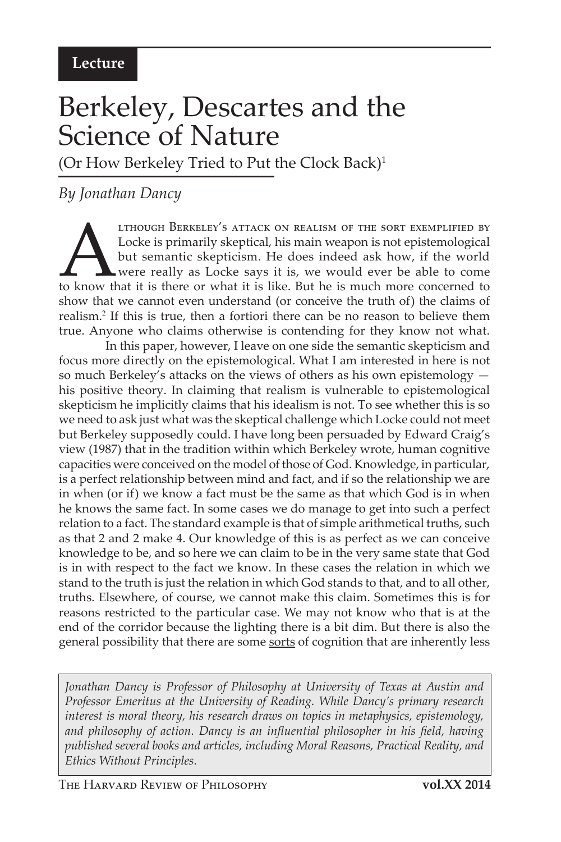## Berkeley, Descartes and the Science of Nature

(Or How Berkeley Tried to Put the Clock Back)<sup>1</sup>

## *By Jonathan Dancy*

THOUGH BERKELEY'S ATTACK ON REALISM OF THE SORT EXEMPLIFIED BY Locke is primarily skeptical, his main weapon is not epistemological but semantic skepticism. He does indeed ask how, if the world were really as Locke says it Locke is primarily skeptical, his main weapon is not epistemological but semantic skepticism. He does indeed ask how, if the world were really as Locke says it is, we would ever be able to come show that we cannot even understand (or conceive the truth of) the claims of realism.<sup>2</sup> If this is true, then a fortiori there can be no reason to believe them true. Anyone who claims otherwise is contending for they know not what.

In this paper, however, I leave on one side the semantic skepticism and focus more directly on the epistemological. What I am interested in here is not so much Berkeley's attacks on the views of others as his own epistemology his positive theory. In claiming that realism is vulnerable to epistemological skepticism he implicitly claims that his idealism is not. To see whether this is so we need to ask just what was the skeptical challenge which Locke could not meet but Berkeley supposedly could. I have long been persuaded by Edward Craig's view (1987) that in the tradition within which Berkeley wrote, human cognitive capacities were conceived on the model of those of God. Knowledge, in particular, is a perfect relationship between mind and fact, and if so the relationship we are in when (or if) we know a fact must be the same as that which God is in when he knows the same fact. In some cases we do manage to get into such a perfect relation to a fact. The standard example is that of simple arithmetical truths, such as that 2 and 2 make 4. Our knowledge of this is as perfect as we can conceive knowledge to be, and so here we can claim to be in the very same state that God is in with respect to the fact we know. In these cases the relation in which we stand to the truth is just the relation in which God stands to that, and to all other, truths. Elsewhere, of course, we cannot make this claim. Sometimes this is for reasons restricted to the particular case. We may not know who that is at the end of the corridor because the lighting there is a bit dim. But there is also the general possibility that there are some sorts of cognition that are inherently less

*Jonathan Dancy is Professor of Philosophy at University of Texas at Austin and Professor Emeritus at the University of Reading. While Dancy's primary research interest is moral theory, his research draws on topics in metaphysics, epistemology, and philosophy of action. Dancy is an influential philosopher in his field, having published several books and articles, including Moral Reasons, Practical Reality, and Ethics Without Principles.*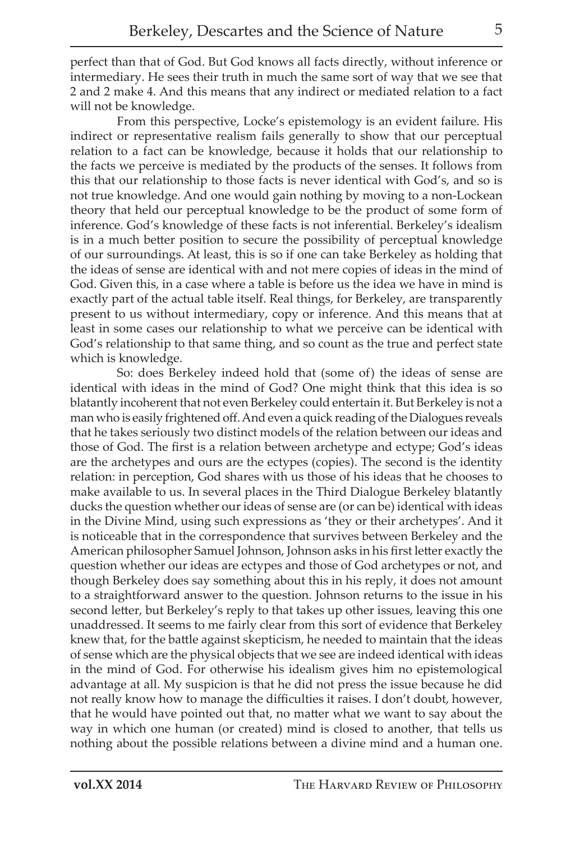perfect than that of God. But God knows all facts directly, without inference or intermediary. He sees their truth in much the same sort of way that we see that 2 and 2 make 4. And this means that any indirect or mediated relation to a fact will not be knowledge.

From this perspective, Locke's epistemology is an evident failure. His indirect or representative realism fails generally to show that our perceptual relation to a fact can be knowledge, because it holds that our relationship to the facts we perceive is mediated by the products of the senses. It follows from this that our relationship to those facts is never identical with God's, and so is not true knowledge. And one would gain nothing by moving to a non-Lockean theory that held our perceptual knowledge to be the product of some form of inference. God's knowledge of these facts is not inferential. Berkeley's idealism is in a much better position to secure the possibility of perceptual knowledge of our surroundings. At least, this is so if one can take Berkeley as holding that the ideas of sense are identical with and not mere copies of ideas in the mind of God. Given this, in a case where a table is before us the idea we have in mind is exactly part of the actual table itself. Real things, for Berkeley, are transparently present to us without intermediary, copy or inference. And this means that at least in some cases our relationship to what we perceive can be identical with God's relationship to that same thing, and so count as the true and perfect state which is knowledge.

So: does Berkeley indeed hold that (some of) the ideas of sense are identical with ideas in the mind of God? One might think that this idea is so blatantly incoherent that not even Berkeley could entertain it. But Berkeley is not a man who is easily frightened off. And even a quick reading of the Dialogues reveals that he takes seriously two distinct models of the relation between our ideas and those of God. The first is a relation between archetype and ectype; God's ideas are the archetypes and ours are the ectypes (copies). The second is the identity relation: in perception, God shares with us those of his ideas that he chooses to make available to us. In several places in the Third Dialogue Berkeley blatantly ducks the question whether our ideas of sense are (or can be) identical with ideas in the Divine Mind, using such expressions as 'they or their archetypes'. And it is noticeable that in the correspondence that survives between Berkeley and the American philosopher Samuel Johnson, Johnson asks in his first letter exactly the question whether our ideas are ectypes and those of God archetypes or not, and though Berkeley does say something about this in his reply, it does not amount to a straightforward answer to the question. Johnson returns to the issue in his second letter, but Berkeley's reply to that takes up other issues, leaving this one unaddressed. It seems to me fairly clear from this sort of evidence that Berkeley knew that, for the battle against skepticism, he needed to maintain that the ideas of sense which are the physical objects that we see are indeed identical with ideas in the mind of God. For otherwise his idealism gives him no epistemological advantage at all. My suspicion is that he did not press the issue because he did not really know how to manage the difficulties it raises. I don't doubt, however, that he would have pointed out that, no matter what we want to say about the way in which one human (or created) mind is closed to another, that tells us nothing about the possible relations between a divine mind and a human one.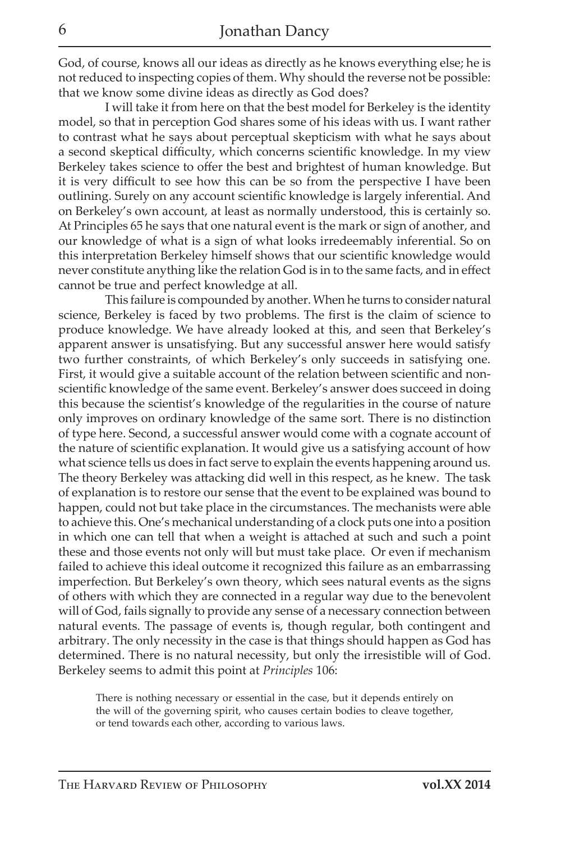God, of course, knows all our ideas as directly as he knows everything else; he is not reduced to inspecting copies of them. Why should the reverse not be possible: that we know some divine ideas as directly as God does?

I will take it from here on that the best model for Berkeley is the identity model, so that in perception God shares some of his ideas with us. I want rather to contrast what he says about perceptual skepticism with what he says about a second skeptical difficulty, which concerns scientific knowledge. In my view Berkeley takes science to offer the best and brightest of human knowledge. But it is very difficult to see how this can be so from the perspective I have been outlining. Surely on any account scientific knowledge is largely inferential. And on Berkeley's own account, at least as normally understood, this is certainly so. At Principles 65 he says that one natural event is the mark or sign of another, and our knowledge of what is a sign of what looks irredeemably inferential. So on this interpretation Berkeley himself shows that our scientific knowledge would never constitute anything like the relation God is in to the same facts, and in effect cannot be true and perfect knowledge at all.

This failure is compounded by another. When he turns to consider natural science, Berkeley is faced by two problems. The first is the claim of science to produce knowledge. We have already looked at this, and seen that Berkeley's apparent answer is unsatisfying. But any successful answer here would satisfy two further constraints, of which Berkeley's only succeeds in satisfying one. First, it would give a suitable account of the relation between scientific and nonscientific knowledge of the same event. Berkeley's answer does succeed in doing this because the scientist's knowledge of the regularities in the course of nature only improves on ordinary knowledge of the same sort. There is no distinction of type here. Second, a successful answer would come with a cognate account of the nature of scientific explanation. It would give us a satisfying account of how what science tells us does in fact serve to explain the events happening around us. The theory Berkeley was attacking did well in this respect, as he knew. The task of explanation is to restore our sense that the event to be explained was bound to happen, could not but take place in the circumstances. The mechanists were able to achieve this. One's mechanical understanding of a clock puts one into a position in which one can tell that when a weight is attached at such and such a point these and those events not only will but must take place. Or even if mechanism failed to achieve this ideal outcome it recognized this failure as an embarrassing imperfection. But Berkeley's own theory, which sees natural events as the signs of others with which they are connected in a regular way due to the benevolent will of God, fails signally to provide any sense of a necessary connection between natural events. The passage of events is, though regular, both contingent and arbitrary. The only necessity in the case is that things should happen as God has determined. There is no natural necessity, but only the irresistible will of God. Berkeley seems to admit this point at *Principles* 106:

There is nothing necessary or essential in the case, but it depends entirely on the will of the governing spirit, who causes certain bodies to cleave together, or tend towards each other, according to various laws.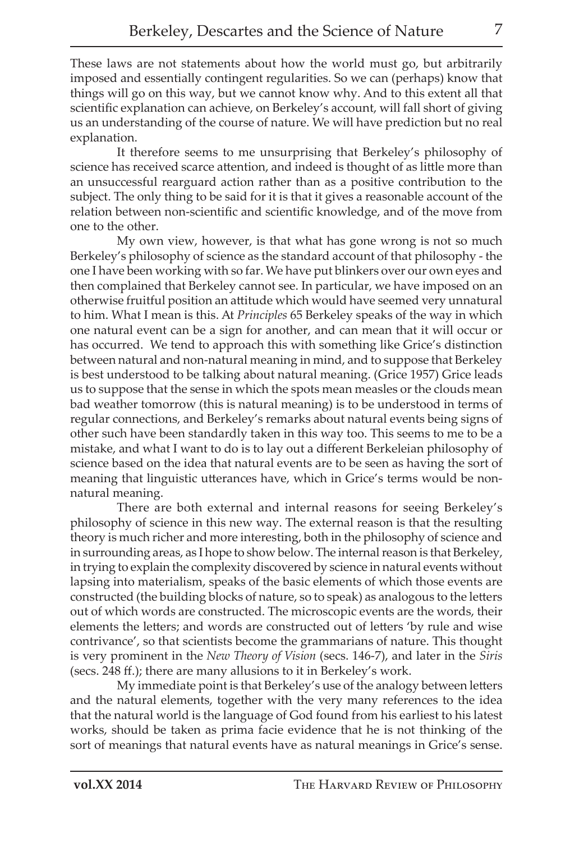These laws are not statements about how the world must go, but arbitrarily imposed and essentially contingent regularities. So we can (perhaps) know that things will go on this way, but we cannot know why. And to this extent all that scientific explanation can achieve, on Berkeley's account, will fall short of giving us an understanding of the course of nature. We will have prediction but no real explanation.

It therefore seems to me unsurprising that Berkeley's philosophy of science has received scarce attention, and indeed is thought of as little more than an unsuccessful rearguard action rather than as a positive contribution to the subject. The only thing to be said for it is that it gives a reasonable account of the relation between non-scientific and scientific knowledge, and of the move from one to the other.

My own view, however, is that what has gone wrong is not so much Berkeley's philosophy of science as the standard account of that philosophy - the one I have been working with so far. We have put blinkers over our own eyes and then complained that Berkeley cannot see. In particular, we have imposed on an otherwise fruitful position an attitude which would have seemed very unnatural to him. What I mean is this. At *Principles* 65 Berkeley speaks of the way in which one natural event can be a sign for another, and can mean that it will occur or has occurred. We tend to approach this with something like Grice's distinction between natural and non-natural meaning in mind, and to suppose that Berkeley is best understood to be talking about natural meaning. (Grice 1957) Grice leads us to suppose that the sense in which the spots mean measles or the clouds mean bad weather tomorrow (this is natural meaning) is to be understood in terms of regular connections, and Berkeley's remarks about natural events being signs of other such have been standardly taken in this way too. This seems to me to be a mistake, and what I want to do is to lay out a different Berkeleian philosophy of science based on the idea that natural events are to be seen as having the sort of meaning that linguistic utterances have, which in Grice's terms would be nonnatural meaning.

There are both external and internal reasons for seeing Berkeley's philosophy of science in this new way. The external reason is that the resulting theory is much richer and more interesting, both in the philosophy of science and in surrounding areas, as I hope to show below. The internal reason is that Berkeley, in trying to explain the complexity discovered by science in natural events without lapsing into materialism, speaks of the basic elements of which those events are constructed (the building blocks of nature, so to speak) as analogous to the letters out of which words are constructed. The microscopic events are the words, their elements the letters; and words are constructed out of letters 'by rule and wise contrivance', so that scientists become the grammarians of nature. This thought is very prominent in the *New Theory of Vision* (secs. 146-7), and later in the *Siris*  (secs. 248 ff.); there are many allusions to it in Berkeley's work.

My immediate point is that Berkeley's use of the analogy between letters and the natural elements, together with the very many references to the idea that the natural world is the language of God found from his earliest to his latest works, should be taken as prima facie evidence that he is not thinking of the sort of meanings that natural events have as natural meanings in Grice's sense.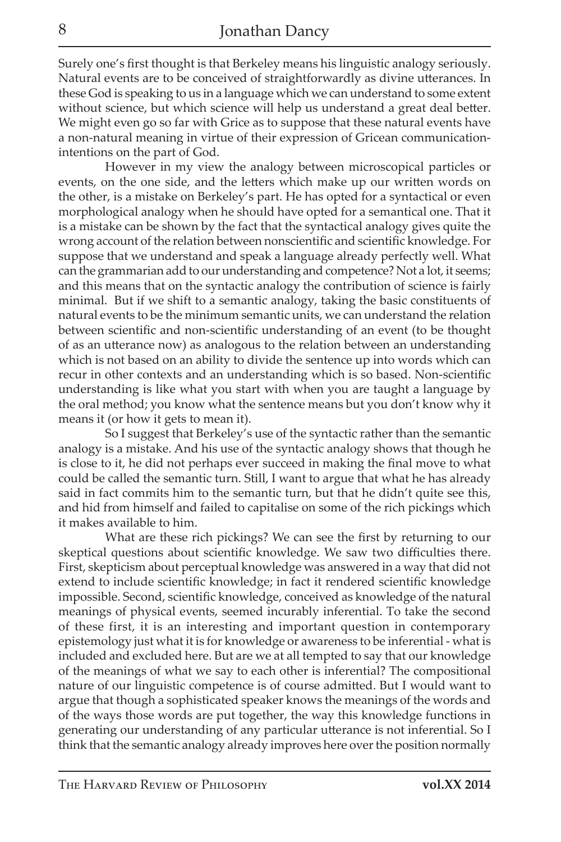Surely one's first thought is that Berkeley means his linguistic analogy seriously. Natural events are to be conceived of straightforwardly as divine utterances. In these God is speaking to us in a language which we can understand to some extent without science, but which science will help us understand a great deal better. We might even go so far with Grice as to suppose that these natural events have a non-natural meaning in virtue of their expression of Gricean communicationintentions on the part of God.

However in my view the analogy between microscopical particles or events, on the one side, and the letters which make up our written words on the other, is a mistake on Berkeley's part. He has opted for a syntactical or even morphological analogy when he should have opted for a semantical one. That it is a mistake can be shown by the fact that the syntactical analogy gives quite the wrong account of the relation between nonscientific and scientific knowledge. For suppose that we understand and speak a language already perfectly well. What can the grammarian add to our understanding and competence? Not a lot, it seems; and this means that on the syntactic analogy the contribution of science is fairly minimal. But if we shift to a semantic analogy, taking the basic constituents of natural events to be the minimum semantic units, we can understand the relation between scientific and non-scientific understanding of an event (to be thought of as an utterance now) as analogous to the relation between an understanding which is not based on an ability to divide the sentence up into words which can recur in other contexts and an understanding which is so based. Non-scientific understanding is like what you start with when you are taught a language by the oral method; you know what the sentence means but you don't know why it means it (or how it gets to mean it).

So I suggest that Berkeley's use of the syntactic rather than the semantic analogy is a mistake. And his use of the syntactic analogy shows that though he is close to it, he did not perhaps ever succeed in making the final move to what could be called the semantic turn. Still, I want to argue that what he has already said in fact commits him to the semantic turn, but that he didn't quite see this, and hid from himself and failed to capitalise on some of the rich pickings which it makes available to him.

What are these rich pickings? We can see the first by returning to our skeptical questions about scientific knowledge. We saw two difficulties there. First, skepticism about perceptual knowledge was answered in a way that did not extend to include scientific knowledge; in fact it rendered scientific knowledge impossible. Second, scientific knowledge, conceived as knowledge of the natural meanings of physical events, seemed incurably inferential. To take the second of these first, it is an interesting and important question in contemporary epistemology just what it is for knowledge or awareness to be inferential - what is included and excluded here. But are we at all tempted to say that our knowledge of the meanings of what we say to each other is inferential? The compositional nature of our linguistic competence is of course admitted. But I would want to argue that though a sophisticated speaker knows the meanings of the words and of the ways those words are put together, the way this knowledge functions in generating our understanding of any particular utterance is not inferential. So I think that the semantic analogy already improves here over the position normally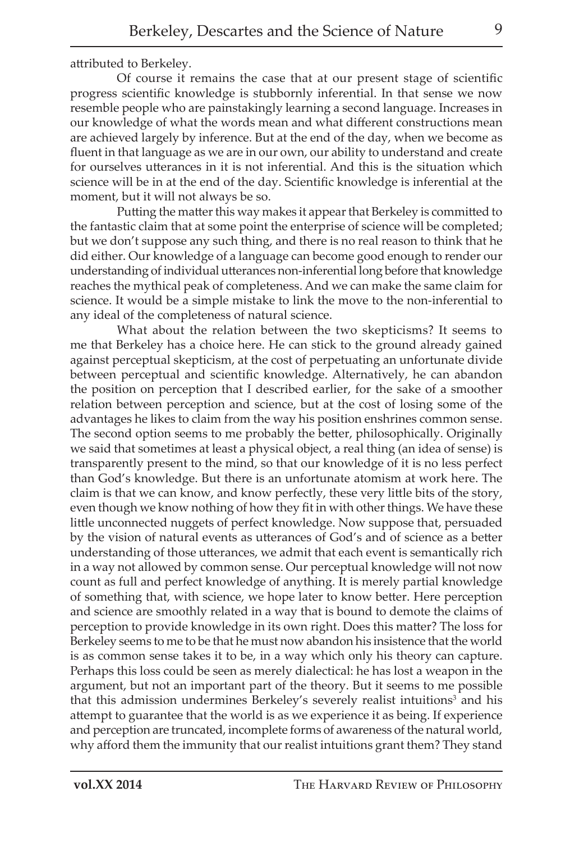attributed to Berkeley.

Of course it remains the case that at our present stage of scientific progress scientific knowledge is stubbornly inferential. In that sense we now resemble people who are painstakingly learning a second language. Increases in our knowledge of what the words mean and what different constructions mean are achieved largely by inference. But at the end of the day, when we become as fluent in that language as we are in our own, our ability to understand and create for ourselves utterances in it is not inferential. And this is the situation which science will be in at the end of the day. Scientific knowledge is inferential at the moment, but it will not always be so.

Putting the matter this way makes it appear that Berkeley is committed to the fantastic claim that at some point the enterprise of science will be completed; but we don't suppose any such thing, and there is no real reason to think that he did either. Our knowledge of a language can become good enough to render our understanding of individual utterances non-inferential long before that knowledge reaches the mythical peak of completeness. And we can make the same claim for science. It would be a simple mistake to link the move to the non-inferential to any ideal of the completeness of natural science.

What about the relation between the two skepticisms? It seems to me that Berkeley has a choice here. He can stick to the ground already gained against perceptual skepticism, at the cost of perpetuating an unfortunate divide between perceptual and scientific knowledge. Alternatively, he can abandon the position on perception that I described earlier, for the sake of a smoother relation between perception and science, but at the cost of losing some of the advantages he likes to claim from the way his position enshrines common sense. The second option seems to me probably the better, philosophically. Originally we said that sometimes at least a physical object, a real thing (an idea of sense) is transparently present to the mind, so that our knowledge of it is no less perfect than God's knowledge. But there is an unfortunate atomism at work here. The claim is that we can know, and know perfectly, these very little bits of the story, even though we know nothing of how they fit in with other things. We have these little unconnected nuggets of perfect knowledge. Now suppose that, persuaded by the vision of natural events as utterances of God's and of science as a better understanding of those utterances, we admit that each event is semantically rich in a way not allowed by common sense. Our perceptual knowledge will not now count as full and perfect knowledge of anything. It is merely partial knowledge of something that, with science, we hope later to know better. Here perception and science are smoothly related in a way that is bound to demote the claims of perception to provide knowledge in its own right. Does this matter? The loss for Berkeley seems to me to be that he must now abandon his insistence that the world is as common sense takes it to be, in a way which only his theory can capture. Perhaps this loss could be seen as merely dialectical: he has lost a weapon in the argument, but not an important part of the theory. But it seems to me possible that this admission undermines Berkeley's severely realist intuitions<sup>3</sup> and his attempt to guarantee that the world is as we experience it as being. If experience and perception are truncated, incomplete forms of awareness of the natural world, why afford them the immunity that our realist intuitions grant them? They stand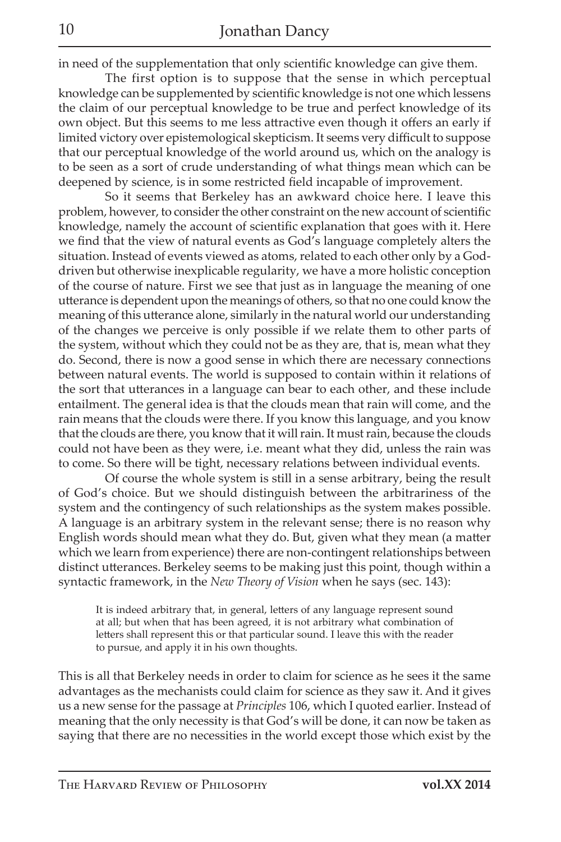in need of the supplementation that only scientific knowledge can give them.

The first option is to suppose that the sense in which perceptual knowledge can be supplemented by scientific knowledge is not one which lessens the claim of our perceptual knowledge to be true and perfect knowledge of its own object. But this seems to me less attractive even though it offers an early if limited victory over epistemological skepticism. It seems very difficult to suppose that our perceptual knowledge of the world around us, which on the analogy is to be seen as a sort of crude understanding of what things mean which can be deepened by science, is in some restricted field incapable of improvement.

So it seems that Berkeley has an awkward choice here. I leave this problem, however, to consider the other constraint on the new account of scientific knowledge, namely the account of scientific explanation that goes with it. Here we find that the view of natural events as God's language completely alters the situation. Instead of events viewed as atoms, related to each other only by a Goddriven but otherwise inexplicable regularity, we have a more holistic conception of the course of nature. First we see that just as in language the meaning of one utterance is dependent upon the meanings of others, so that no one could know the meaning of this utterance alone, similarly in the natural world our understanding of the changes we perceive is only possible if we relate them to other parts of the system, without which they could not be as they are, that is, mean what they do. Second, there is now a good sense in which there are necessary connections between natural events. The world is supposed to contain within it relations of the sort that utterances in a language can bear to each other, and these include entailment. The general idea is that the clouds mean that rain will come, and the rain means that the clouds were there. If you know this language, and you know that the clouds are there, you know that it will rain. It must rain, because the clouds could not have been as they were, i.e. meant what they did, unless the rain was to come. So there will be tight, necessary relations between individual events.

Of course the whole system is still in a sense arbitrary, being the result of God's choice. But we should distinguish between the arbitrariness of the system and the contingency of such relationships as the system makes possible. A language is an arbitrary system in the relevant sense; there is no reason why English words should mean what they do. But, given what they mean (a matter which we learn from experience) there are non-contingent relationships between distinct utterances. Berkeley seems to be making just this point, though within a syntactic framework, in the *New Theory of Vision* when he says (sec. 143):

It is indeed arbitrary that, in general, letters of any language represent sound at all; but when that has been agreed, it is not arbitrary what combination of letters shall represent this or that particular sound. I leave this with the reader to pursue, and apply it in his own thoughts.

This is all that Berkeley needs in order to claim for science as he sees it the same advantages as the mechanists could claim for science as they saw it. And it gives us a new sense for the passage at *Principles* 106, which I quoted earlier. Instead of meaning that the only necessity is that God's will be done, it can now be taken as saying that there are no necessities in the world except those which exist by the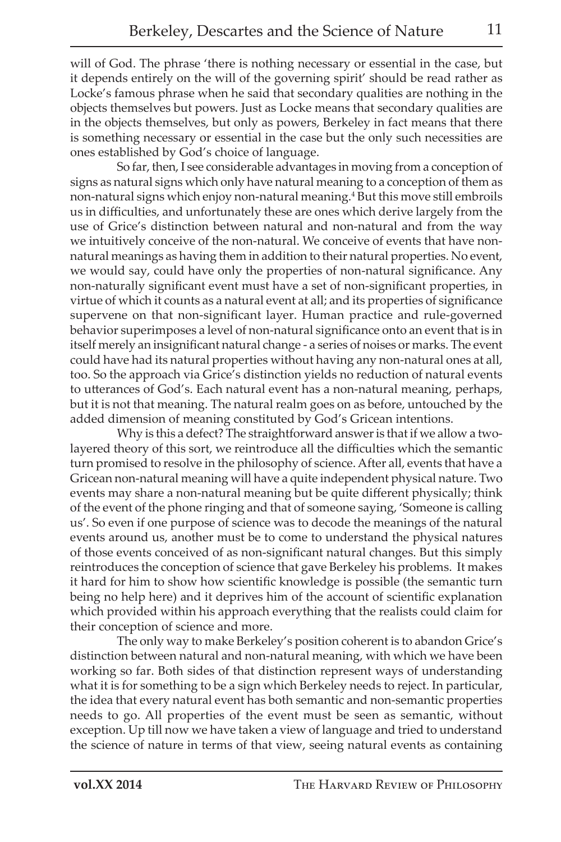will of God. The phrase 'there is nothing necessary or essential in the case, but it depends entirely on the will of the governing spirit' should be read rather as Locke's famous phrase when he said that secondary qualities are nothing in the objects themselves but powers. Just as Locke means that secondary qualities are in the objects themselves, but only as powers, Berkeley in fact means that there is something necessary or essential in the case but the only such necessities are ones established by God's choice of language.

So far, then, I see considerable advantages in moving from a conception of signs as natural signs which only have natural meaning to a conception of them as non-natural signs which enjoy non-natural meaning.4 But this move still embroils us in difficulties, and unfortunately these are ones which derive largely from the use of Grice's distinction between natural and non-natural and from the way we intuitively conceive of the non-natural. We conceive of events that have nonnatural meanings as having them in addition to their natural properties. No event, we would say, could have only the properties of non-natural significance. Any non-naturally significant event must have a set of non-significant properties, in virtue of which it counts as a natural event at all; and its properties of significance supervene on that non-significant layer. Human practice and rule-governed behavior superimposes a level of non-natural significance onto an event that is in itself merely an insignificant natural change - a series of noises or marks. The event could have had its natural properties without having any non-natural ones at all, too. So the approach via Grice's distinction yields no reduction of natural events to utterances of God's. Each natural event has a non-natural meaning, perhaps, but it is not that meaning. The natural realm goes on as before, untouched by the added dimension of meaning constituted by God's Gricean intentions.

Why is this a defect? The straightforward answer is that if we allow a twolayered theory of this sort, we reintroduce all the difficulties which the semantic turn promised to resolve in the philosophy of science. After all, events that have a Gricean non-natural meaning will have a quite independent physical nature. Two events may share a non-natural meaning but be quite different physically; think of the event of the phone ringing and that of someone saying, 'Someone is calling us'. So even if one purpose of science was to decode the meanings of the natural events around us, another must be to come to understand the physical natures of those events conceived of as non-significant natural changes. But this simply reintroduces the conception of science that gave Berkeley his problems. It makes it hard for him to show how scientific knowledge is possible (the semantic turn being no help here) and it deprives him of the account of scientific explanation which provided within his approach everything that the realists could claim for their conception of science and more.

The only way to make Berkeley's position coherent is to abandon Grice's distinction between natural and non-natural meaning, with which we have been working so far. Both sides of that distinction represent ways of understanding what it is for something to be a sign which Berkeley needs to reject. In particular, the idea that every natural event has both semantic and non-semantic properties needs to go. All properties of the event must be seen as semantic, without exception. Up till now we have taken a view of language and tried to understand the science of nature in terms of that view, seeing natural events as containing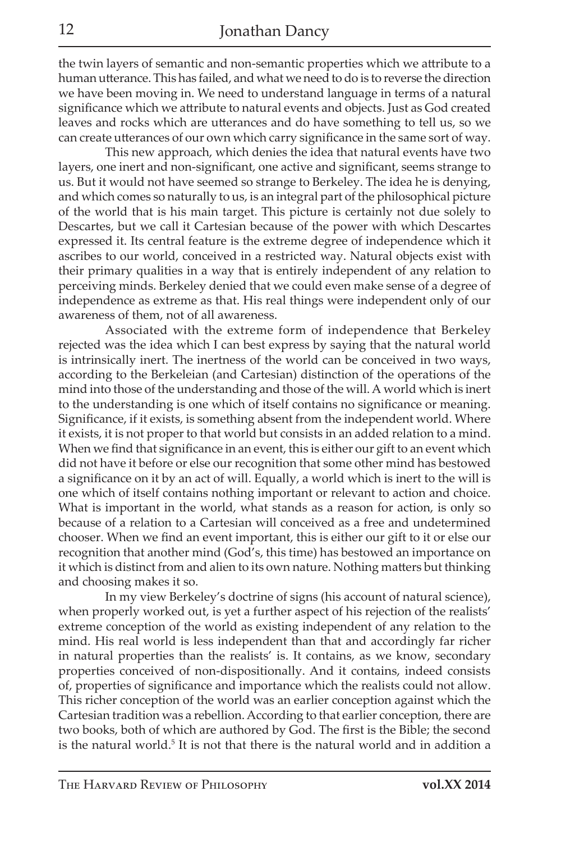the twin layers of semantic and non-semantic properties which we attribute to a human utterance. This has failed, and what we need to do is to reverse the direction we have been moving in. We need to understand language in terms of a natural significance which we attribute to natural events and objects. Just as God created leaves and rocks which are utterances and do have something to tell us, so we can create utterances of our own which carry significance in the same sort of way.

This new approach, which denies the idea that natural events have two layers, one inert and non-significant, one active and significant, seems strange to us. But it would not have seemed so strange to Berkeley. The idea he is denying, and which comes so naturally to us, is an integral part of the philosophical picture of the world that is his main target. This picture is certainly not due solely to Descartes, but we call it Cartesian because of the power with which Descartes expressed it. Its central feature is the extreme degree of independence which it ascribes to our world, conceived in a restricted way. Natural objects exist with their primary qualities in a way that is entirely independent of any relation to perceiving minds. Berkeley denied that we could even make sense of a degree of independence as extreme as that. His real things were independent only of our awareness of them, not of all awareness.

Associated with the extreme form of independence that Berkeley rejected was the idea which I can best express by saying that the natural world is intrinsically inert. The inertness of the world can be conceived in two ways, according to the Berkeleian (and Cartesian) distinction of the operations of the mind into those of the understanding and those of the will. A world which is inert to the understanding is one which of itself contains no significance or meaning. Significance, if it exists, is something absent from the independent world. Where it exists, it is not proper to that world but consists in an added relation to a mind. When we find that significance in an event, this is either our gift to an event which did not have it before or else our recognition that some other mind has bestowed a significance on it by an act of will. Equally, a world which is inert to the will is one which of itself contains nothing important or relevant to action and choice. What is important in the world, what stands as a reason for action, is only so because of a relation to a Cartesian will conceived as a free and undetermined chooser. When we find an event important, this is either our gift to it or else our recognition that another mind (God's, this time) has bestowed an importance on it which is distinct from and alien to its own nature. Nothing matters but thinking and choosing makes it so.

In my view Berkeley's doctrine of signs (his account of natural science), when properly worked out, is yet a further aspect of his rejection of the realists' extreme conception of the world as existing independent of any relation to the mind. His real world is less independent than that and accordingly far richer in natural properties than the realists' is. It contains, as we know, secondary properties conceived of non-dispositionally. And it contains, indeed consists of, properties of significance and importance which the realists could not allow. This richer conception of the world was an earlier conception against which the Cartesian tradition was a rebellion. According to that earlier conception, there are two books, both of which are authored by God. The first is the Bible; the second is the natural world.<sup>5</sup> It is not that there is the natural world and in addition a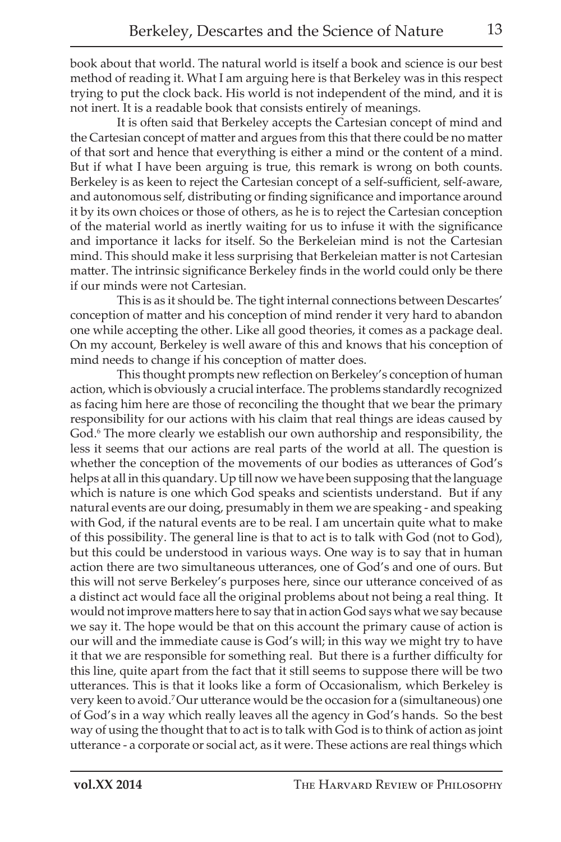book about that world. The natural world is itself a book and science is our best method of reading it. What I am arguing here is that Berkeley was in this respect trying to put the clock back. His world is not independent of the mind, and it is not inert. It is a readable book that consists entirely of meanings.

It is often said that Berkeley accepts the Cartesian concept of mind and the Cartesian concept of matter and argues from this that there could be no matter of that sort and hence that everything is either a mind or the content of a mind. But if what I have been arguing is true, this remark is wrong on both counts. Berkeley is as keen to reject the Cartesian concept of a self-sufficient, self-aware, and autonomous self, distributing or finding significance and importance around it by its own choices or those of others, as he is to reject the Cartesian conception of the material world as inertly waiting for us to infuse it with the significance and importance it lacks for itself. So the Berkeleian mind is not the Cartesian mind. This should make it less surprising that Berkeleian matter is not Cartesian matter. The intrinsic significance Berkeley finds in the world could only be there if our minds were not Cartesian.

This is as it should be. The tight internal connections between Descartes' conception of matter and his conception of mind render it very hard to abandon one while accepting the other. Like all good theories, it comes as a package deal. On my account, Berkeley is well aware of this and knows that his conception of mind needs to change if his conception of matter does.

This thought prompts new reflection on Berkeley's conception of human action, which is obviously a crucial interface. The problems standardly recognized as facing him here are those of reconciling the thought that we bear the primary responsibility for our actions with his claim that real things are ideas caused by God.<sup>6</sup> The more clearly we establish our own authorship and responsibility, the less it seems that our actions are real parts of the world at all. The question is whether the conception of the movements of our bodies as utterances of God's helps at all in this quandary. Up till now we have been supposing that the language which is nature is one which God speaks and scientists understand. But if any natural events are our doing, presumably in them we are speaking - and speaking with God, if the natural events are to be real. I am uncertain quite what to make of this possibility. The general line is that to act is to talk with God (not to God), but this could be understood in various ways. One way is to say that in human action there are two simultaneous utterances, one of God's and one of ours. But this will not serve Berkeley's purposes here, since our utterance conceived of as a distinct act would face all the original problems about not being a real thing. It would not improve matters here to say that in action God says what we say because we say it. The hope would be that on this account the primary cause of action is our will and the immediate cause is God's will; in this way we might try to have it that we are responsible for something real. But there is a further difficulty for this line, quite apart from the fact that it still seems to suppose there will be two utterances. This is that it looks like a form of Occasionalism, which Berkeley is very keen to avoid.7 Our utterance would be the occasion for a (simultaneous) one of God's in a way which really leaves all the agency in God's hands. So the best way of using the thought that to act is to talk with God is to think of action as joint utterance - a corporate or social act, as it were. These actions are real things which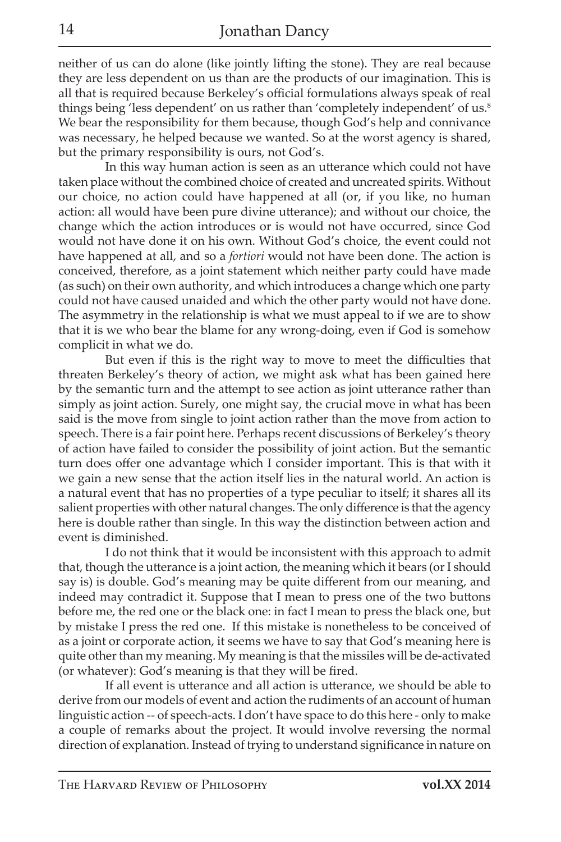neither of us can do alone (like jointly lifting the stone). They are real because they are less dependent on us than are the products of our imagination. This is all that is required because Berkeley's official formulations always speak of real things being 'less dependent' on us rather than 'completely independent' of us.<sup>8</sup> We bear the responsibility for them because, though God's help and connivance was necessary, he helped because we wanted. So at the worst agency is shared, but the primary responsibility is ours, not God's.

In this way human action is seen as an utterance which could not have taken place without the combined choice of created and uncreated spirits. Without our choice, no action could have happened at all (or, if you like, no human action: all would have been pure divine utterance); and without our choice, the change which the action introduces or is would not have occurred, since God would not have done it on his own. Without God's choice, the event could not have happened at all, and so a *fortiori* would not have been done. The action is conceived, therefore, as a joint statement which neither party could have made (as such) on their own authority, and which introduces a change which one party could not have caused unaided and which the other party would not have done. The asymmetry in the relationship is what we must appeal to if we are to show that it is we who bear the blame for any wrong-doing, even if God is somehow complicit in what we do.

But even if this is the right way to move to meet the difficulties that threaten Berkeley's theory of action, we might ask what has been gained here by the semantic turn and the attempt to see action as joint utterance rather than simply as joint action. Surely, one might say, the crucial move in what has been said is the move from single to joint action rather than the move from action to speech. There is a fair point here. Perhaps recent discussions of Berkeley's theory of action have failed to consider the possibility of joint action. But the semantic turn does offer one advantage which I consider important. This is that with it we gain a new sense that the action itself lies in the natural world. An action is a natural event that has no properties of a type peculiar to itself; it shares all its salient properties with other natural changes. The only difference is that the agency here is double rather than single. In this way the distinction between action and event is diminished.

I do not think that it would be inconsistent with this approach to admit that, though the utterance is a joint action, the meaning which it bears (or I should say is) is double. God's meaning may be quite different from our meaning, and indeed may contradict it. Suppose that I mean to press one of the two buttons before me, the red one or the black one: in fact I mean to press the black one, but by mistake I press the red one. If this mistake is nonetheless to be conceived of as a joint or corporate action, it seems we have to say that God's meaning here is quite other than my meaning. My meaning is that the missiles will be de-activated (or whatever): God's meaning is that they will be fired.

If all event is utterance and all action is utterance, we should be able to derive from our models of event and action the rudiments of an account of human linguistic action -- of speech-acts. I don't have space to do this here - only to make a couple of remarks about the project. It would involve reversing the normal direction of explanation. Instead of trying to understand significance in nature on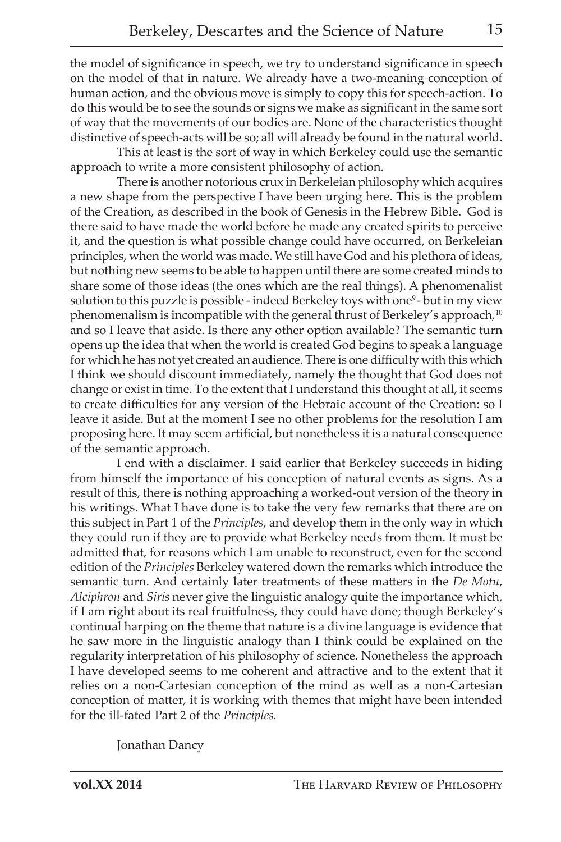the model of significance in speech, we try to understand significance in speech on the model of that in nature. We already have a two-meaning conception of human action, and the obvious move is simply to copy this for speech-action. To do this would be to see the sounds or signs we make as significant in the same sort of way that the movements of our bodies are. None of the characteristics thought distinctive of speech-acts will be so; all will already be found in the natural world.

This at least is the sort of way in which Berkeley could use the semantic approach to write a more consistent philosophy of action.

There is another notorious crux in Berkeleian philosophy which acquires a new shape from the perspective I have been urging here. This is the problem of the Creation, as described in the book of Genesis in the Hebrew Bible. God is there said to have made the world before he made any created spirits to perceive it, and the question is what possible change could have occurred, on Berkeleian principles, when the world was made. We still have God and his plethora of ideas, but nothing new seems to be able to happen until there are some created minds to share some of those ideas (the ones which are the real things). A phenomenalist solution to this puzzle is possible - indeed Berkeley toys with one<sup>9</sup> - but in my view phenomenalism is incompatible with the general thrust of Berkeley's approach,<sup>10</sup> and so I leave that aside. Is there any other option available? The semantic turn opens up the idea that when the world is created God begins to speak a language for which he has not yet created an audience. There is one difficulty with this which I think we should discount immediately, namely the thought that God does not change or exist in time. To the extent that I understand this thought at all, it seems to create difficulties for any version of the Hebraic account of the Creation: so I leave it aside. But at the moment I see no other problems for the resolution I am proposing here. It may seem artificial, but nonetheless it is a natural consequence of the semantic approach.

I end with a disclaimer. I said earlier that Berkeley succeeds in hiding from himself the importance of his conception of natural events as signs. As a result of this, there is nothing approaching a worked-out version of the theory in his writings. What I have done is to take the very few remarks that there are on this subject in Part 1 of the *Principles*, and develop them in the only way in which they could run if they are to provide what Berkeley needs from them. It must be admitted that, for reasons which I am unable to reconstruct, even for the second edition of the *Principles* Berkeley watered down the remarks which introduce the semantic turn. And certainly later treatments of these matters in the *De Motu*, *Alciphron* and *Siris* never give the linguistic analogy quite the importance which, if I am right about its real fruitfulness, they could have done; though Berkeley's continual harping on the theme that nature is a divine language is evidence that he saw more in the linguistic analogy than I think could be explained on the regularity interpretation of his philosophy of science. Nonetheless the approach I have developed seems to me coherent and attractive and to the extent that it relies on a non-Cartesian conception of the mind as well as a non-Cartesian conception of matter, it is working with themes that might have been intended for the ill-fated Part 2 of the *Principles.*

Jonathan Dancy